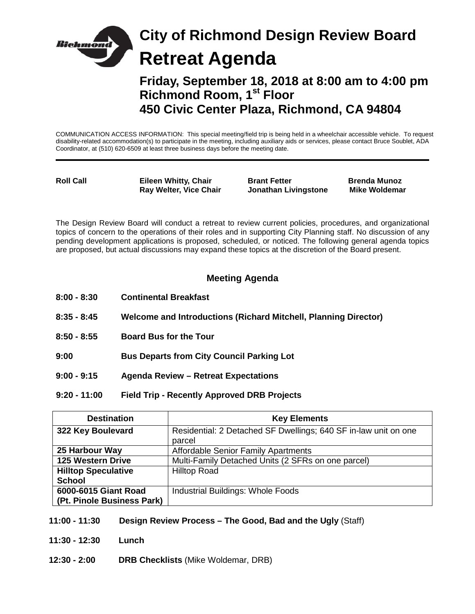

**Friday, September 18, 2018 at 8:00 am to 4:00 pm Richmond Room, 1st Floor 450 Civic Center Plaza, Richmond, CA 94804**

COMMUNICATION ACCESS INFORMATION: This special meeting/field trip is being held in a wheelchair accessible vehicle. To request disability-related accommodation(s) to participate in the meeting, including auxiliary aids or services, please contact Bruce Soublet, ADA Coordinator, at (510) 620-6509 at least three business days before the meeting date.

**Roll Call Eileen Whitty, Chair Brant Fetter Brenda Munoz Ray Welter, Vice Chair State Jonathan Livingstone** 

The Design Review Board will conduct a retreat to review current policies, procedures, and organizational topics of concern to the operations of their roles and in supporting City Planning staff. No discussion of any pending development applications is proposed, scheduled, or noticed. The following general agenda topics are proposed, but actual discussions may expand these topics at the discretion of the Board present.

## **Meeting Agenda**

- **8:00 - 8:30 Continental Breakfast**
- **8:35 - 8:45 Welcome and Introductions (Richard Mitchell, Planning Director)**
- **8:50 - 8:55 Board Bus for the Tour**
- **9:00 Bus Departs from City Council Parking Lot**
- **9:00 - 9:15 Agenda Review – Retreat Expectations**
- **9:20 - 11:00 Field Trip - Recently Approved DRB Projects**

| <b>Destination</b>         | <b>Key Elements</b>                                                       |
|----------------------------|---------------------------------------------------------------------------|
| 322 Key Boulevard          | Residential: 2 Detached SF Dwellings; 640 SF in-law unit on one<br>parcel |
| 25 Harbour Way             | <b>Affordable Senior Family Apartments</b>                                |
| <b>125 Western Drive</b>   | Multi-Family Detached Units (2 SFRs on one parcel)                        |
| <b>Hilltop Speculative</b> | <b>Hilltop Road</b>                                                       |
| <b>School</b>              |                                                                           |
| 6000-6015 Giant Road       | Industrial Buildings: Whole Foods                                         |
| (Pt. Pinole Business Park) |                                                                           |

- **11:00 - 11:30 Design Review Process – The Good, Bad and the Ugly** (Staff)
- **11:30 - 12:30 Lunch**
- **12:30 - 2:00 DRB Checklists** (Mike Woldemar, DRB)